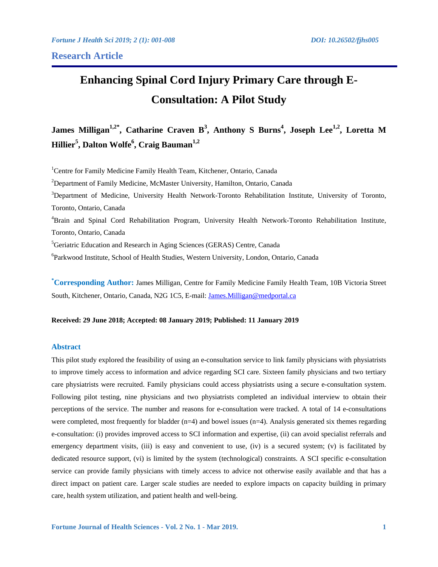# **Enhancing Spinal Cord Injury Primary Care through E-Consultation: A Pilot Study**

**James Milligan1,2\*, Catharine Craven B3 , Anthony S Burns<sup>4</sup> , Joseph Lee1,2, Loretta M**   $\mathbf{Hillier}^\mathbf{5}, \mathbf{Dalton\ Wolfe}^\mathbf{6}, \mathbf{Craig\ Bauman}^\mathbf{1,2}$ 

<sup>1</sup>Centre for Family Medicine Family Health Team, Kitchener, Ontario, Canada <sup>2</sup>Department of Family Medicine, McMaster University, Hamilton, Ontario, Canada <sup>3</sup>Department of Medicine, University Health Network-Toronto Rehabilitation Institute, University of Toronto, Toronto, Ontario, Canada 4 Brain and Spinal Cord Rehabilitation Program, University Health Network-Toronto Rehabilitation Institute, Toronto, Ontario, Canada <sup>5</sup>Geriatric Education and Research in Aging Sciences (GERAS) Centre, Canada 6 Parkwood Institute, School of Health Studies, Western University, London, Ontario, Canada

**\* Corresponding Author:** James Milligan, Centre for Family Medicine Family Health Team, 10B Victoria Street South, Kitchener, Ontario, Canada, N2G 1C5, E-mail: James.Milligan@medportal.ca

# **Received: 29 June 2018; Accepted: 08 January 2019; Published: 11 January 2019**

# **Abstract**

This pilot study explored the feasibility of using an e-consultation service to link family physicians with physiatrists to improve timely access to information and advice regarding SCI care. Sixteen family physicians and two tertiary care physiatrists were recruited. Family physicians could access physiatrists using a secure e-consultation system. Following pilot testing, nine physicians and two physiatrists completed an individual interview to obtain their perceptions of the service. The number and reasons for e-consultation were tracked. A total of 14 e-consultations were completed, most frequently for bladder  $(n=4)$  and bowel issues  $(n=4)$ . Analysis generated six themes regarding e-consultation: (i) provides improved access to SCI information and expertise, (ii) can avoid specialist referrals and emergency department visits, (iii) is easy and convenient to use, (iv) is a secured system; (v) is facilitated by dedicated resource support, (vi) is limited by the system (technological) constraints. A SCI specific e-consultation service can provide family physicians with timely access to advice not otherwise easily available and that has a direct impact on patient care. Larger scale studies are needed to explore impacts on capacity building in primary care, health system utilization, and patient health and well-being.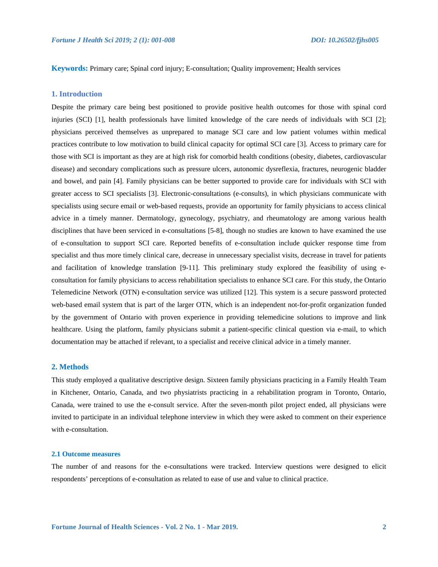**Keywords:** Primary care; Spinal cord injury; E-consultation; Quality improvement; Health services

# **1. Introduction**

Despite the primary care being best positioned to provide positive health outcomes for those with spinal cord injuries (SCI) [1], health professionals have limited knowledge of the care needs of individuals with SCI [2]; physicians perceived themselves as unprepared to manage SCI care and low patient volumes within medical practices contribute to low motivation to build clinical capacity for optimal SCI care [3]. Access to primary care for those with SCI is important as they are at high risk for comorbid health conditions (obesity, diabetes, cardiovascular disease) and secondary complications such as pressure ulcers, autonomic dysreflexia, fractures, neurogenic bladder and bowel, and pain [4]. Family physicians can be better supported to provide care for individuals with SCI with greater access to SCI specialists [3]. Electronic-consultations (e-consults), in which physicians communicate with specialists using secure email or web-based requests, provide an opportunity for family physicians to access clinical advice in a timely manner. Dermatology, gynecology, psychiatry, and rheumatology are among various health disciplines that have been serviced in e-consultations [5-8], though no studies are known to have examined the use of e-consultation to support SCI care. Reported benefits of e-consultation include quicker response time from specialist and thus more timely clinical care, decrease in unnecessary specialist visits, decrease in travel for patients and facilitation of knowledge translation [9-11]. This preliminary study explored the feasibility of using econsultation for family physicians to access rehabilitation specialists to enhance SCI care. For this study, the Ontario Telemedicine Network (OTN) e-consultation service was utilized [12]. This system is a secure password protected web-based email system that is part of the larger OTN, which is an independent not-for-profit organization funded by the government of Ontario with proven experience in providing telemedicine solutions to improve and link healthcare. Using the platform, family physicians submit a patient-specific clinical question via e-mail, to which documentation may be attached if relevant, to a specialist and receive clinical advice in a timely manner.

## **2. Methods**

This study employed a qualitative descriptive design. Sixteen family physicians practicing in a Family Health Team in Kitchener, Ontario, Canada, and two physiatrists practicing in a rehabilitation program in Toronto, Ontario, Canada, were trained to use the e-consult service. After the seven-month pilot project ended, all physicians were invited to participate in an individual telephone interview in which they were asked to comment on their experience with e-consultation.

#### **2.1 Outcome measures**

The number of and reasons for the e-consultations were tracked. Interview questions were designed to elicit respondents' perceptions of e-consultation as related to ease of use and value to clinical practice.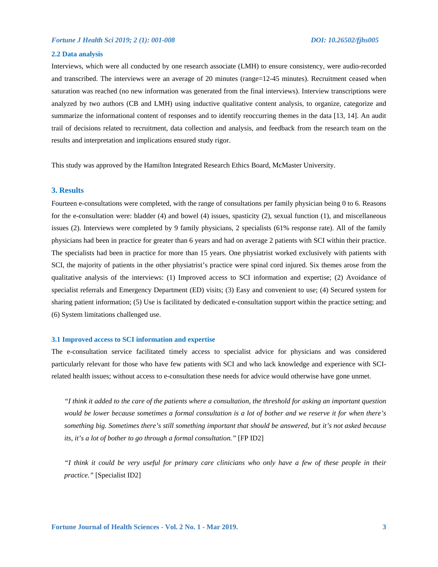### **2.2 Data analysis**

Interviews, which were all conducted by one research associate (LMH) to ensure consistency, were audio-recorded and transcribed. The interviews were an average of 20 minutes (range=12-45 minutes). Recruitment ceased when saturation was reached (no new information was generated from the final interviews). Interview transcriptions were analyzed by two authors (CB and LMH) using inductive qualitative content analysis, to organize, categorize and summarize the informational content of responses and to identify reoccurring themes in the data [13, 14]. An audit trail of decisions related to recruitment, data collection and analysis, and feedback from the research team on the results and interpretation and implications ensured study rigor.

This study was approved by the Hamilton Integrated Research Ethics Board, McMaster University.

## **3. Results**

Fourteen e-consultations were completed, with the range of consultations per family physician being 0 to 6. Reasons for the e-consultation were: bladder (4) and bowel (4) issues, spasticity (2), sexual function (1), and miscellaneous issues (2). Interviews were completed by 9 family physicians, 2 specialists (61% response rate). All of the family physicians had been in practice for greater than 6 years and had on average 2 patients with SCI within their practice. The specialists had been in practice for more than 15 years. One physiatrist worked exclusively with patients with SCI, the majority of patients in the other physiatrist's practice were spinal cord injured. Six themes arose from the qualitative analysis of the interviews: (1) Improved access to SCI information and expertise; (2) Avoidance of specialist referrals and Emergency Department (ED) visits; (3) Easy and convenient to use; (4) Secured system for sharing patient information; (5) Use is facilitated by dedicated e-consultation support within the practice setting; and (6) System limitations challenged use.

#### **3.1 Improved access to SCI information and expertise**

The e-consultation service facilitated timely access to specialist advice for physicians and was considered particularly relevant for those who have few patients with SCI and who lack knowledge and experience with SCIrelated health issues; without access to e-consultation these needs for advice would otherwise have gone unmet.

*"I think it added to the care of the patients where a consultation, the threshold for asking an important question would be lower because sometimes a formal consultation is a lot of bother and we reserve it for when there's something big. Sometimes there's still something important that should be answered, but it's not asked because its, it's a lot of bother to go through a formal consultation."* [FP ID2]

*"I think it could be very useful for primary care clinicians who only have a few of these people in their practice."* [Specialist ID2]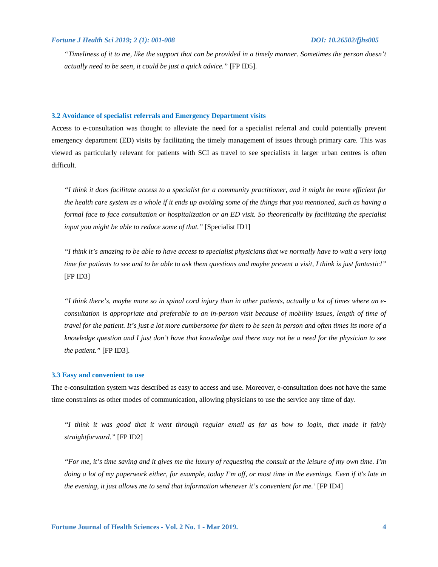*"Timeliness of it to me, like the support that can be provided in a timely manner. Sometimes the person doesn't actually need to be seen, it could be just a quick advice."* [FP ID5].

#### **3.2 Avoidance of specialist referrals and Emergency Department visits**

Access to e-consultation was thought to alleviate the need for a specialist referral and could potentially prevent emergency department (ED) visits by facilitating the timely management of issues through primary care. This was viewed as particularly relevant for patients with SCI as travel to see specialists in larger urban centres is often difficult.

*"I think it does facilitate access to a specialist for a community practitioner, and it might be more efficient for the health care system as a whole if it ends up avoiding some of the things that you mentioned, such as having a formal face to face consultation or hospitalization or an ED visit. So theoretically by facilitating the specialist input you might be able to reduce some of that.*" [Specialist ID1]

*"I think it's amazing to be able to have access to specialist physicians that we normally have to wait a very long time for patients to see and to be able to ask them questions and maybe prevent a visit, I think is just fantastic!"*  [FP ID3]

*"I think there's, maybe more so in spinal cord injury than in other patients, actually a lot of times where an econsultation is appropriate and preferable to an in-person visit because of mobility issues, length of time of travel for the patient. It's just a lot more cumbersome for them to be seen in person and often times its more of a knowledge question and I just don't have that knowledge and there may not be a need for the physician to see the patient."* [FP ID3].

#### **3.3 Easy and convenient to use**

The e-consultation system was described as easy to access and use. Moreover, e-consultation does not have the same time constraints as other modes of communication, allowing physicians to use the service any time of day.

*"I think it was good that it went through regular email as far as how to login, that made it fairly straightforward."* [FP ID2]

*"For me, it's time saving and it gives me the luxury of requesting the consult at the leisure of my own time. I'm doing a lot of my paperwork either, for example, today I'm off, or most time in the evenings. Even if it's late in the evening, it just allows me to send that information whenever it's convenient for me.'* [FP ID4]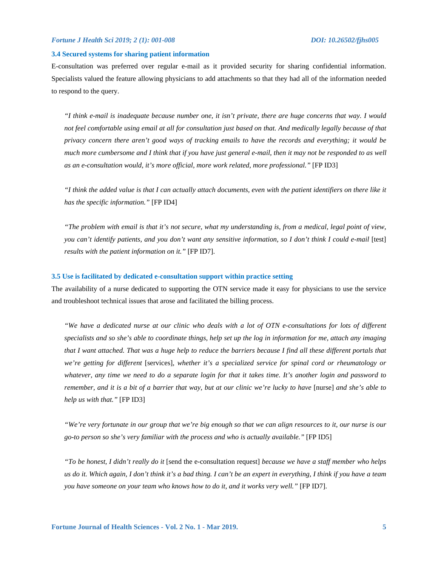#### **3.4 Secured systems for sharing patient information**

E-consultation was preferred over regular e-mail as it provided security for sharing confidential information. Specialists valued the feature allowing physicians to add attachments so that they had all of the information needed to respond to the query.

*"I think e-mail is inadequate because number one, it isn't private, there are huge concerns that way. I would*  not feel comfortable using email at all for consultation just based on that. And medically legally because of that *privacy concern there aren't good ways of tracking emails to have the records and everything; it would be much more cumbersome and I think that if you have just general e-mail, then it may not be responded to as well as an e-consultation would, it's more official, more work related, more professional."* [FP ID3]

*"I think the added value is that I can actually attach documents, even with the patient identifiers on there like it has the specific information."* [FP ID4]

*"The problem with email is that it's not secure, what my understanding is, from a medical, legal point of view, you can't identify patients, and you don't want any sensitive information, so I don't think I could e-mail* [test] *results with the patient information on it."* [FP ID7].

## **3.5 Use is facilitated by dedicated e-consultation support within practice setting**

The availability of a nurse dedicated to supporting the OTN service made it easy for physicians to use the service and troubleshoot technical issues that arose and facilitated the billing process.

*"We have a dedicated nurse at our clinic who deals with a lot of OTN e-consultations for lots of different specialists and so she's able to coordinate things, help set up the log in information for me, attach any imaging that I want attached. That was a huge help to reduce the barriers because I find all these different portals that we're getting for different* [services]*, whether it's a specialized service for spinal cord or rheumatology or whatever, any time we need to do a separate login for that it takes time. It's another login and password to remember, and it is a bit of a barrier that way, but at our clinic we're lucky to have* [nurse] *and she's able to help us with that."* [FP ID3]

*"We're very fortunate in our group that we're big enough so that we can align resources to it, our nurse is our go-to person so she's very familiar with the process and who is actually available."* [FP ID5]

*"To be honest, I didn't really do it* [send the e-consultation request] *because we have a staff member who helps us do it. Which again, I don't think it's a bad thing. I can't be an expert in everything, I think if you have a team you have someone on your team who knows how to do it, and it works very well."* [FP ID7].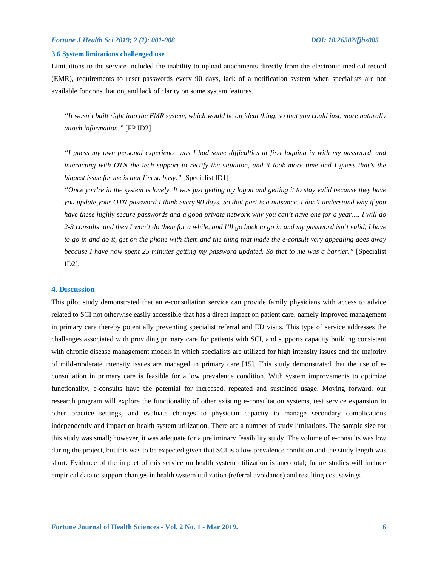#### **3.6 System limitations challenged use**

Limitations to the service included the inability to upload attachments directly from the electronic medical record (EMR), requirements to reset passwords every 90 days, lack of a notification system when specialists are not available for consultation, and lack of clarity on some system features.

*"It wasn't built right into the EMR system, which would be an ideal thing, so that you could just, more naturally attach information."* [FP ID2]

*"I guess my own personal experience was I had some difficulties at first logging in with my password, and interacting with OTN the tech support to rectify the situation, and it took more time and I guess that's the biggest issue for me is that I'm so busy."* [Specialist ID1]

*"Once you're in the system is lovely. It was just getting my logon and getting it to stay valid because they have you update your OTN password I think every 90 days. So that part is a nuisance. I don't understand why if you have these highly secure passwords and a good private network why you can't have one for a year…. I will do 2-3 consults, and then I won't do them for a while, and I'll go back to go in and my password isn't valid, I have to go in and do it, get on the phone with them and the thing that made the e-consult very appealing goes away because I have now spent 25 minutes getting my password updated. So that to me was a barrier."* [Specialist ID2].

#### **4. Discussion**

This pilot study demonstrated that an e-consultation service can provide family physicians with access to advice related to SCI not otherwise easily accessible that has a direct impact on patient care, namely improved management in primary care thereby potentially preventing specialist referral and ED visits. This type of service addresses the challenges associated with providing primary care for patients with SCI, and supports capacity building consistent with chronic disease management models in which specialists are utilized for high intensity issues and the majority of mild-moderate intensity issues are managed in primary care [15]. This study demonstrated that the use of econsultation in primary care is feasible for a low prevalence condition. With system improvements to optimize functionality, e-consults have the potential for increased, repeated and sustained usage. Moving forward, our research program will explore the functionality of other existing e-consultation systems, test service expansion to other practice settings, and evaluate changes to physician capacity to manage secondary complications independently and impact on health system utilization. There are a number of study limitations. The sample size for this study was small; however, it was adequate for a preliminary feasibility study. The volume of e-consults was low during the project, but this was to be expected given that SCI is a low prevalence condition and the study length was short. Evidence of the impact of this service on health system utilization is anecdotal; future studies will include empirical data to support changes in health system utilization (referral avoidance) and resulting cost savings.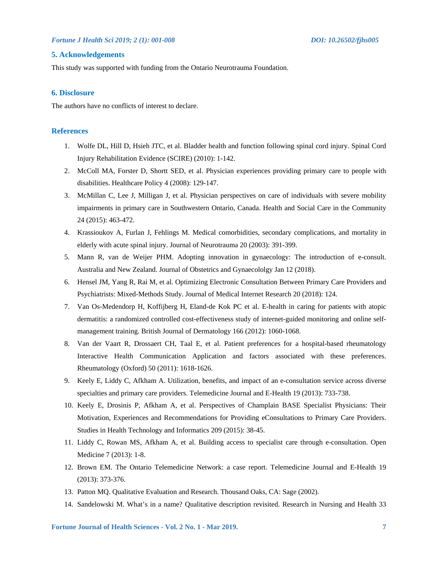# **5. Acknowledgements**

This study was supported with funding from the Ontario Neurotrauma Foundation.

## **6. Disclosure**

The authors have no conflicts of interest to declare.

## **References**

- 1. Wolfe DL, Hill D, Hsieh JTC, et al. Bladder health and function following spinal cord injury. Spinal Cord Injury Rehabilitation Evidence (SCIRE) (2010): 1-142.
- 2. McColl MA, Forster D, Shortt SED, et al. Physician experiences providing primary care to people with disabilities. Healthcare Policy 4 (2008): 129-147.
- 3. McMillan C, Lee J, Milligan J, et al. Physician perspectives on care of individuals with severe mobility impairments in primary care in Southwestern Ontario, Canada. Health and Social Care in the Community 24 (2015): 463-472.
- 4. Krassioukov A, Furlan J, Fehlings M. Medical comorbidities, secondary complications, and mortality in elderly with acute spinal injury. Journal of Neurotrauma 20 (2003): 391-399.
- 5. Mann R, van de Weijer PHM. Adopting innovation in gynaecology: The introduction of e-consult. Australia and New Zealand. Journal of Obstetrics and Gynaecololgy Jan 12 (2018).
- 6. Hensel JM, Yang R, Rai M, et al. Optimizing Electronic Consultation Between Primary Care Providers and Psychiatrists: Mixed-Methods Study. Journal of Medical Internet Research 20 (2018): 124.
- 7. Van Os-Medendorp H, Koffijberg H, Eland-de Kok PC et al. E-health in caring for patients with atopic dermatitis: a randomized controlled cost-effectiveness study of internet-guided monitoring and online selfmanagement training. British Journal of Dermatology 166 (2012): 1060-1068.
- 8. Van der Vaart R, Drossaert CH, Taal E, et al. Patient preferences for a hospital-based rheumatology Interactive Health Communication Application and factors associated with these preferences. Rheumatology (Oxford) 50 (2011): 1618-1626.
- 9. Keely E, Liddy C, Afkham A. Utilization, benefits, and impact of an e-consultation service across diverse specialties and primary care providers. Telemedicine Journal and E-Health 19 (2013): 733-738.
- 10. Keely E, Drosinis P, Afkham A, et al. Perspectives of Champlain BASE Specialist Physicians: Their Motivation, Experiences and Recommendations for Providing eConsultations to Primary Care Providers. Studies in Health Technology and Informatics 209 (2015): 38-45.
- 11. Liddy C, Rowan MS, Afkham A, et al. Building access to specialist care through e-consultation. Open Medicine 7 (2013): 1-8.
- 12. Brown EM. The Ontario Telemedicine Network: a case report. Telemedicine Journal and E-Health 19 (2013): 373-376.
- 13. Patton MQ. Qualitative Evaluation and Research. Thousand Oaks, CA: Sage (2002).
- 14. Sandelowski M. What's in a name? Qualitative description revisited. Research in Nursing and Health 33